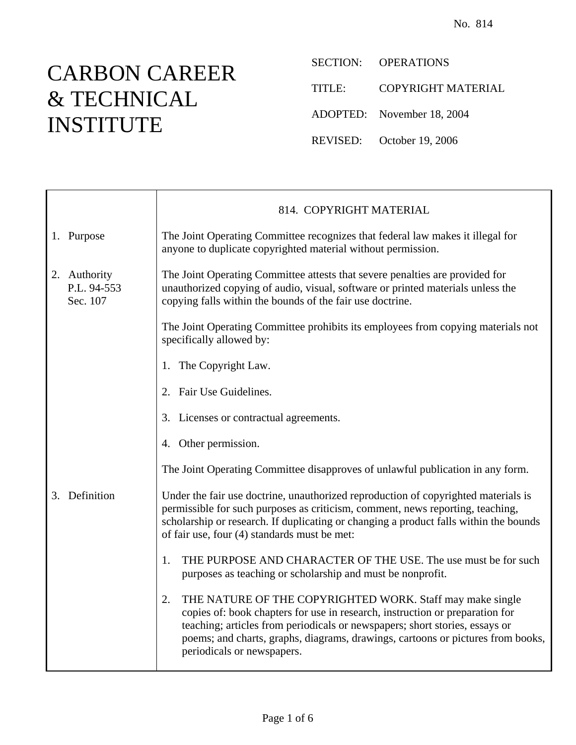## CARBON CAREER & TECHNICAL INSTITUTE

 $\top$ 

 $\mathsf{r}$ 

SECTION: OPERATIONS

TITLE: COPYRIGHT MATERIAL

ADOPTED: November 18, 2004

REVISED: October 19, 2006

|    |                                         | 814. COPYRIGHT MATERIAL                                                                                                                                                                                                                                                                                                                         |
|----|-----------------------------------------|-------------------------------------------------------------------------------------------------------------------------------------------------------------------------------------------------------------------------------------------------------------------------------------------------------------------------------------------------|
|    | 1. Purpose                              | The Joint Operating Committee recognizes that federal law makes it illegal for<br>anyone to duplicate copyrighted material without permission.                                                                                                                                                                                                  |
|    | 2. Authority<br>P.L. 94-553<br>Sec. 107 | The Joint Operating Committee attests that severe penalties are provided for<br>unauthorized copying of audio, visual, software or printed materials unless the<br>copying falls within the bounds of the fair use doctrine.                                                                                                                    |
|    |                                         | The Joint Operating Committee prohibits its employees from copying materials not<br>specifically allowed by:                                                                                                                                                                                                                                    |
|    |                                         | 1. The Copyright Law.                                                                                                                                                                                                                                                                                                                           |
|    |                                         | 2. Fair Use Guidelines.                                                                                                                                                                                                                                                                                                                         |
|    |                                         | 3. Licenses or contractual agreements.                                                                                                                                                                                                                                                                                                          |
|    |                                         | 4. Other permission.                                                                                                                                                                                                                                                                                                                            |
|    |                                         | The Joint Operating Committee disapproves of unlawful publication in any form.                                                                                                                                                                                                                                                                  |
| 3. | Definition                              | Under the fair use doctrine, unauthorized reproduction of copyrighted materials is<br>permissible for such purposes as criticism, comment, news reporting, teaching,<br>scholarship or research. If duplicating or changing a product falls within the bounds<br>of fair use, four (4) standards must be met:                                   |
|    |                                         | THE PURPOSE AND CHARACTER OF THE USE. The use must be for such<br>1.<br>purposes as teaching or scholarship and must be nonprofit.                                                                                                                                                                                                              |
|    |                                         | THE NATURE OF THE COPYRIGHTED WORK. Staff may make single<br>2.<br>copies of: book chapters for use in research, instruction or preparation for<br>teaching; articles from periodicals or newspapers; short stories, essays or<br>poems; and charts, graphs, diagrams, drawings, cartoons or pictures from books,<br>periodicals or newspapers. |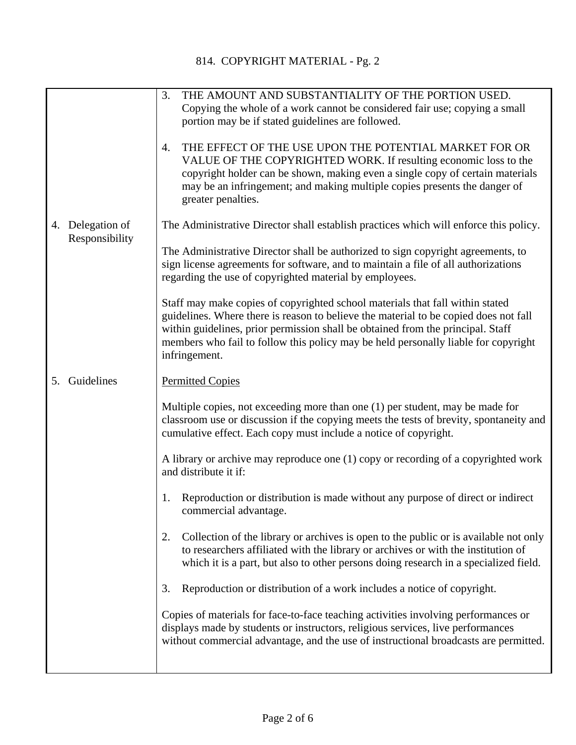|    |                                 | THE AMOUNT AND SUBSTANTIALITY OF THE PORTION USED.<br>3.<br>Copying the whole of a work cannot be considered fair use; copying a small<br>portion may be if stated guidelines are followed.<br>THE EFFECT OF THE USE UPON THE POTENTIAL MARKET FOR OR<br>4.<br>VALUE OF THE COPYRIGHTED WORK. If resulting economic loss to the<br>copyright holder can be shown, making even a single copy of certain materials<br>may be an infringement; and making multiple copies presents the danger of<br>greater penalties. |
|----|---------------------------------|---------------------------------------------------------------------------------------------------------------------------------------------------------------------------------------------------------------------------------------------------------------------------------------------------------------------------------------------------------------------------------------------------------------------------------------------------------------------------------------------------------------------|
| 4. | Delegation of<br>Responsibility | The Administrative Director shall establish practices which will enforce this policy.<br>The Administrative Director shall be authorized to sign copyright agreements, to<br>sign license agreements for software, and to maintain a file of all authorizations<br>regarding the use of copyrighted material by employees.<br>Staff may make copies of copyrighted school materials that fall within stated<br>guidelines. Where there is reason to believe the material to be copied does not fall                 |
| 5. | Guidelines                      | within guidelines, prior permission shall be obtained from the principal. Staff<br>members who fail to follow this policy may be held personally liable for copyright<br>infringement.<br><b>Permitted Copies</b>                                                                                                                                                                                                                                                                                                   |
|    |                                 | Multiple copies, not exceeding more than one (1) per student, may be made for<br>classroom use or discussion if the copying meets the tests of brevity, spontaneity and<br>cumulative effect. Each copy must include a notice of copyright.<br>A library or archive may reproduce one (1) copy or recording of a copyrighted work                                                                                                                                                                                   |
|    |                                 | and distribute it if:<br>Reproduction or distribution is made without any purpose of direct or indirect<br>1.<br>commercial advantage.                                                                                                                                                                                                                                                                                                                                                                              |
|    |                                 | Collection of the library or archives is open to the public or is available not only<br>2.<br>to researchers affiliated with the library or archives or with the institution of<br>which it is a part, but also to other persons doing research in a specialized field.<br>Reproduction or distribution of a work includes a notice of copyright.<br>3.                                                                                                                                                             |
|    |                                 | Copies of materials for face-to-face teaching activities involving performances or<br>displays made by students or instructors, religious services, live performances<br>without commercial advantage, and the use of instructional broadcasts are permitted.                                                                                                                                                                                                                                                       |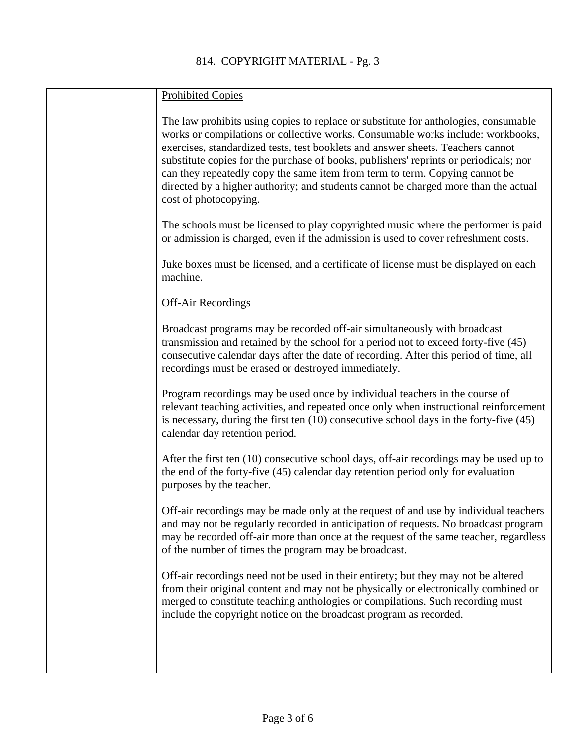| <b>Prohibited Copies</b>                                                                                                                                                                                                                                                                                                                                                                                                                                                                                                                          |
|---------------------------------------------------------------------------------------------------------------------------------------------------------------------------------------------------------------------------------------------------------------------------------------------------------------------------------------------------------------------------------------------------------------------------------------------------------------------------------------------------------------------------------------------------|
| The law prohibits using copies to replace or substitute for anthologies, consumable<br>works or compilations or collective works. Consumable works include: workbooks,<br>exercises, standardized tests, test booklets and answer sheets. Teachers cannot<br>substitute copies for the purchase of books, publishers' reprints or periodicals; nor<br>can they repeatedly copy the same item from term to term. Copying cannot be<br>directed by a higher authority; and students cannot be charged more than the actual<br>cost of photocopying. |
| The schools must be licensed to play copyrighted music where the performer is paid<br>or admission is charged, even if the admission is used to cover refreshment costs.                                                                                                                                                                                                                                                                                                                                                                          |
| Juke boxes must be licensed, and a certificate of license must be displayed on each<br>machine.                                                                                                                                                                                                                                                                                                                                                                                                                                                   |
| <b>Off-Air Recordings</b>                                                                                                                                                                                                                                                                                                                                                                                                                                                                                                                         |
| Broadcast programs may be recorded off-air simultaneously with broadcast<br>transmission and retained by the school for a period not to exceed forty-five (45)<br>consecutive calendar days after the date of recording. After this period of time, all<br>recordings must be erased or destroyed immediately.                                                                                                                                                                                                                                    |
| Program recordings may be used once by individual teachers in the course of<br>relevant teaching activities, and repeated once only when instructional reinforcement<br>is necessary, during the first ten $(10)$ consecutive school days in the forty-five $(45)$<br>calendar day retention period.                                                                                                                                                                                                                                              |
| After the first ten (10) consecutive school days, off-air recordings may be used up to<br>the end of the forty-five (45) calendar day retention period only for evaluation<br>purposes by the teacher.                                                                                                                                                                                                                                                                                                                                            |
| Off-air recordings may be made only at the request of and use by individual teachers<br>and may not be regularly recorded in anticipation of requests. No broadcast program<br>may be recorded off-air more than once at the request of the same teacher, regardless<br>of the number of times the program may be broadcast.                                                                                                                                                                                                                      |
| Off-air recordings need not be used in their entirety; but they may not be altered<br>from their original content and may not be physically or electronically combined or<br>merged to constitute teaching anthologies or compilations. Such recording must<br>include the copyright notice on the broadcast program as recorded.                                                                                                                                                                                                                 |
|                                                                                                                                                                                                                                                                                                                                                                                                                                                                                                                                                   |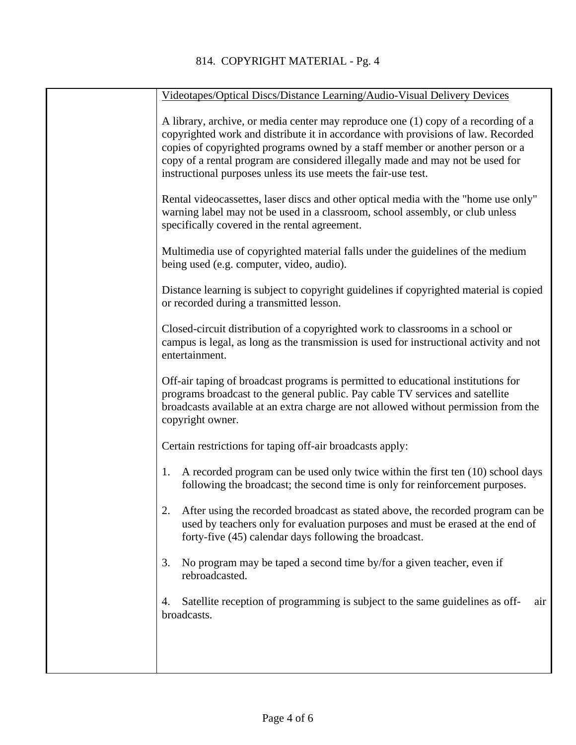| Videotapes/Optical Discs/Distance Learning/Audio-Visual Delivery Devices                                                                                                                                                                                                                                                                                                                                     |
|--------------------------------------------------------------------------------------------------------------------------------------------------------------------------------------------------------------------------------------------------------------------------------------------------------------------------------------------------------------------------------------------------------------|
| A library, archive, or media center may reproduce one (1) copy of a recording of a<br>copyrighted work and distribute it in accordance with provisions of law. Recorded<br>copies of copyrighted programs owned by a staff member or another person or a<br>copy of a rental program are considered illegally made and may not be used for<br>instructional purposes unless its use meets the fair-use test. |
| Rental videocassettes, laser discs and other optical media with the "home use only"<br>warning label may not be used in a classroom, school assembly, or club unless<br>specifically covered in the rental agreement.                                                                                                                                                                                        |
| Multimedia use of copyrighted material falls under the guidelines of the medium<br>being used (e.g. computer, video, audio).                                                                                                                                                                                                                                                                                 |
| Distance learning is subject to copyright guidelines if copyrighted material is copied<br>or recorded during a transmitted lesson.                                                                                                                                                                                                                                                                           |
| Closed-circuit distribution of a copyrighted work to classrooms in a school or<br>campus is legal, as long as the transmission is used for instructional activity and not<br>entertainment.                                                                                                                                                                                                                  |
| Off-air taping of broadcast programs is permitted to educational institutions for<br>programs broadcast to the general public. Pay cable TV services and satellite<br>broadcasts available at an extra charge are not allowed without permission from the<br>copyright owner.                                                                                                                                |
| Certain restrictions for taping off-air broadcasts apply:                                                                                                                                                                                                                                                                                                                                                    |
| A recorded program can be used only twice within the first ten (10) school days<br>1.<br>following the broadcast; the second time is only for reinforcement purposes.                                                                                                                                                                                                                                        |
| 2.<br>After using the recorded broadcast as stated above, the recorded program can be<br>used by teachers only for evaluation purposes and must be erased at the end of<br>forty-five (45) calendar days following the broadcast.                                                                                                                                                                            |
| No program may be taped a second time by/for a given teacher, even if<br>3.<br>rebroadcasted.                                                                                                                                                                                                                                                                                                                |
| Satellite reception of programming is subject to the same guidelines as off-<br>air<br>4.<br>broadcasts.                                                                                                                                                                                                                                                                                                     |
|                                                                                                                                                                                                                                                                                                                                                                                                              |
|                                                                                                                                                                                                                                                                                                                                                                                                              |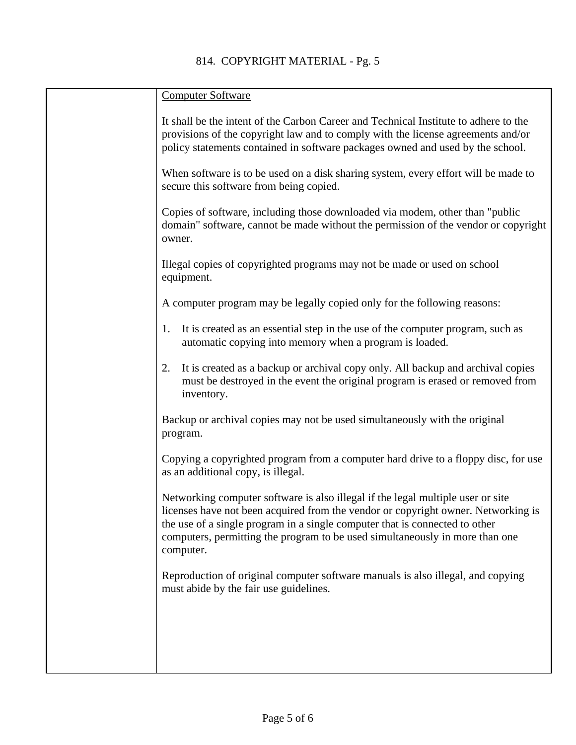| <b>Computer Software</b>                                                                                                                                                                                                                                                                                                                         |
|--------------------------------------------------------------------------------------------------------------------------------------------------------------------------------------------------------------------------------------------------------------------------------------------------------------------------------------------------|
| It shall be the intent of the Carbon Career and Technical Institute to adhere to the<br>provisions of the copyright law and to comply with the license agreements and/or<br>policy statements contained in software packages owned and used by the school.                                                                                       |
| When software is to be used on a disk sharing system, every effort will be made to<br>secure this software from being copied.                                                                                                                                                                                                                    |
| Copies of software, including those downloaded via modem, other than "public<br>domain" software, cannot be made without the permission of the vendor or copyright<br>owner.                                                                                                                                                                     |
| Illegal copies of copyrighted programs may not be made or used on school<br>equipment.                                                                                                                                                                                                                                                           |
| A computer program may be legally copied only for the following reasons:                                                                                                                                                                                                                                                                         |
| It is created as an essential step in the use of the computer program, such as<br>1.<br>automatic copying into memory when a program is loaded.                                                                                                                                                                                                  |
| It is created as a backup or archival copy only. All backup and archival copies<br>2.<br>must be destroyed in the event the original program is erased or removed from<br>inventory.                                                                                                                                                             |
| Backup or archival copies may not be used simultaneously with the original<br>program.                                                                                                                                                                                                                                                           |
| Copying a copyrighted program from a computer hard drive to a floppy disc, for use<br>as an additional copy, is illegal.                                                                                                                                                                                                                         |
| Networking computer software is also illegal if the legal multiple user or site<br>licenses have not been acquired from the vendor or copyright owner. Networking is<br>the use of a single program in a single computer that is connected to other<br>computers, permitting the program to be used simultaneously in more than one<br>computer. |
| Reproduction of original computer software manuals is also illegal, and copying<br>must abide by the fair use guidelines.                                                                                                                                                                                                                        |
|                                                                                                                                                                                                                                                                                                                                                  |
|                                                                                                                                                                                                                                                                                                                                                  |
|                                                                                                                                                                                                                                                                                                                                                  |